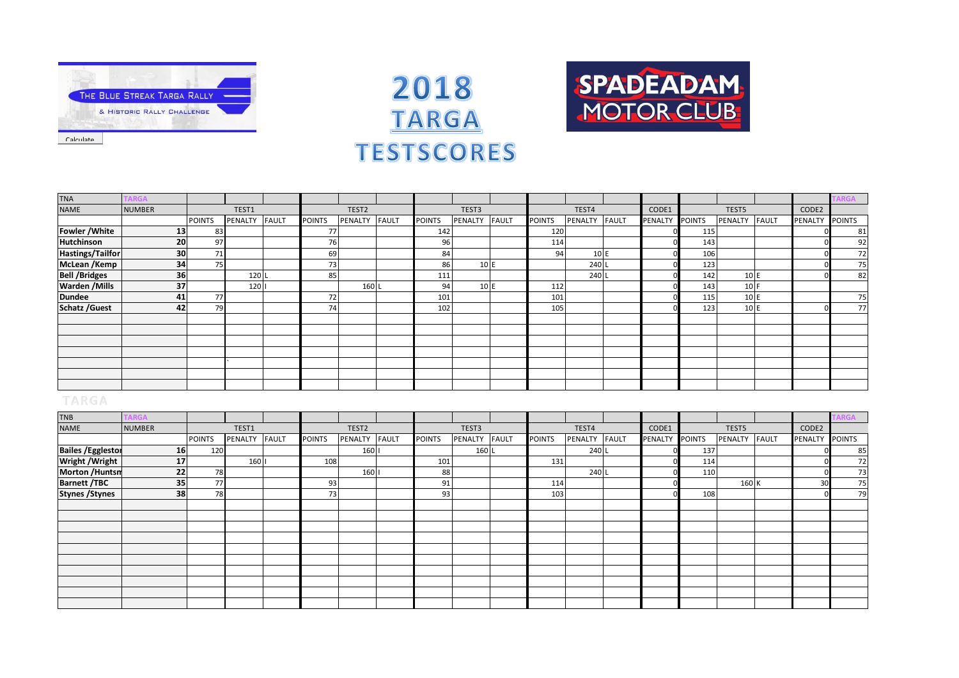

Calculate



**SPADEADAM** 

MOTOR CLUB



| <b>TNB</b>                |                 |               |         |              |               |                   |              |               |         |       |               |               |                |     |               |         |               |
|---------------------------|-----------------|---------------|---------|--------------|---------------|-------------------|--------------|---------------|---------|-------|---------------|---------------|----------------|-----|---------------|---------|---------------|
| <b>NAME</b>               | <b>NUMBER</b>   |               | TEST1   |              |               | TEST <sub>2</sub> |              |               | TEST3   |       |               | TEST4         | CODE1          |     | TEST5         | CODE2   |               |
|                           |                 | <b>POINTS</b> | PENALTY | <b>FAULT</b> | <b>POINTS</b> | PENALTY           | <b>FAULT</b> | <b>POINTS</b> | PENALTY | FAULT | <b>POINTS</b> | PENALTY FAULT | PENALTY POINTS |     | PENALTY FAULT | PENALTY | <b>POINTS</b> |
| <b>Bailes / Egglestor</b> | 16              | 120           |         |              |               | 160               |              |               | 160     |       |               | 240 L         |                | 137 |               |         | 85            |
| <b>Wright / Wright</b>    | 17 <sup>1</sup> |               | 160     |              | 108           |                   |              | 101           |         |       | 131           |               |                | 114 |               |         | 72            |
| <b>Morton /Huntsn</b>     | 22              | 78            |         |              |               | 160               |              | 88            |         |       |               | 240 L         |                | 110 |               |         | 73            |
| <b>Barnett /TBC</b>       | 35 <sup>1</sup> | 77            |         |              | 93            |                   |              | 91            |         |       | 114           |               |                |     | 160 K         | 30      | 75            |
| <b>Stynes / Stynes</b>    | 38              | 78            |         |              | 73            |                   |              | 93            |         |       | 103           |               |                | 108 |               |         | 79            |
|                           |                 |               |         |              |               |                   |              |               |         |       |               |               |                |     |               |         |               |
|                           |                 |               |         |              |               |                   |              |               |         |       |               |               |                |     |               |         |               |
|                           |                 |               |         |              |               |                   |              |               |         |       |               |               |                |     |               |         |               |
|                           |                 |               |         |              |               |                   |              |               |         |       |               |               |                |     |               |         |               |
|                           |                 |               |         |              |               |                   |              |               |         |       |               |               |                |     |               |         |               |
|                           |                 |               |         |              |               |                   |              |               |         |       |               |               |                |     |               |         |               |
|                           |                 |               |         |              |               |                   |              |               |         |       |               |               |                |     |               |         |               |
|                           |                 |               |         |              |               |                   |              |               |         |       |               |               |                |     |               |         |               |
|                           |                 |               |         |              |               |                   |              |               |         |       |               |               |                |     |               |         |               |
|                           |                 |               |         |              |               |                   |              |               |         |       |               |               |                |     |               |         |               |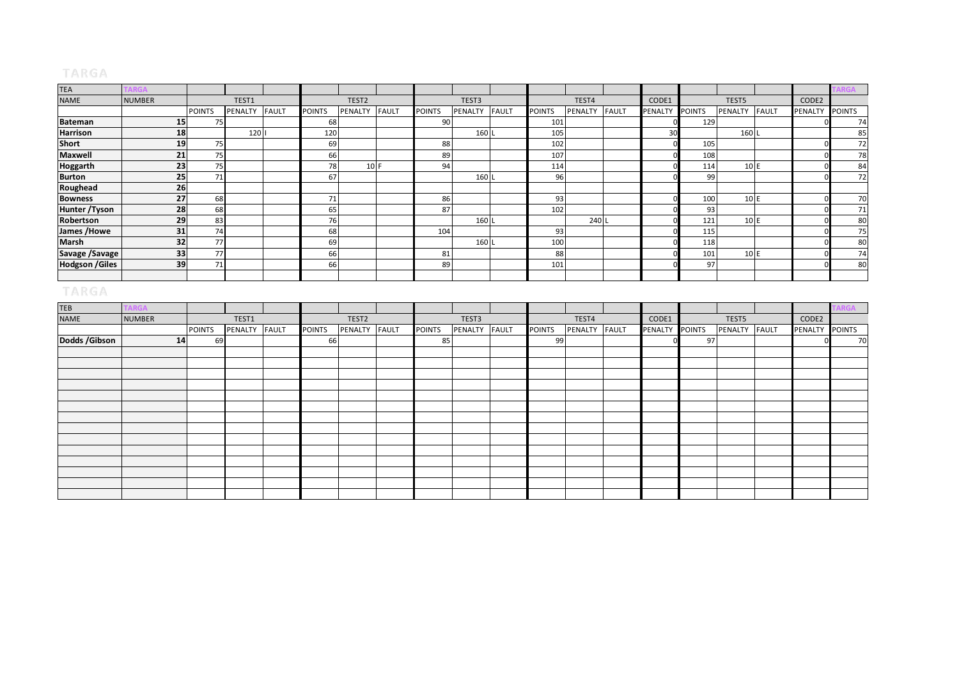| <b>TEA</b>            |               |               |         |              |               |                   |              |               |                |              |               |                |              |                |               |                |              |                | <b>\RGA</b>   |
|-----------------------|---------------|---------------|---------|--------------|---------------|-------------------|--------------|---------------|----------------|--------------|---------------|----------------|--------------|----------------|---------------|----------------|--------------|----------------|---------------|
| <b>NAME</b>           | <b>NUMBER</b> |               | TEST1   |              |               | TEST <sub>2</sub> |              |               | TEST3          |              |               | TEST4          |              | CODE1          |               | TEST5          |              | CODE2          |               |
|                       |               | <b>POINTS</b> | PENALTY | <b>FAULT</b> | <b>POINTS</b> | PENALTY           | <b>FAULT</b> | <b>POINTS</b> | <b>PENALTY</b> | <b>FAULT</b> | <b>POINTS</b> | <b>PENALTY</b> | <b>FAULT</b> | PENALTY        | <b>POINTS</b> | <b>PENALTY</b> | <b>FAULT</b> | <b>PENALTY</b> | <b>POINTS</b> |
| <b>Bateman</b>        | <b>15</b>     | 75            |         |              | 68            |                   |              | 90            |                |              | 101           |                |              |                | 129           |                |              |                | 74            |
| Harrison              | 18            |               | 120     |              | 120           |                   |              |               | 160 L          |              | 105           |                |              | 30             |               | 160 L          |              |                | 85            |
| <b>Short</b>          | 19            | 75            |         |              | 69            |                   |              | 88            |                |              | 102           |                |              |                | 105           |                |              |                | 72            |
| <b>Maxwell</b>        | 21            | 75            |         |              | 66            |                   |              | 89            |                |              | 107           |                |              |                | 108           |                |              |                | 78            |
| <b>Hoggarth</b>       | 23            | 75            |         |              | 78            | 10 F              |              | 94            |                |              | 114           |                |              |                | 114           | 10E            |              |                | 84            |
| <b>Burton</b>         | 25            | 71            |         |              | 67            |                   |              |               | 160 L          |              | 96            |                |              |                | 99            |                |              |                | 72            |
| Roughead              | 26            |               |         |              |               |                   |              |               |                |              |               |                |              |                |               |                |              |                |               |
| <b>Bowness</b>        | 27            | 68            |         |              | 71            |                   |              | 86            |                |              | 93            |                |              |                | 100           | 10E            |              |                | 70            |
| Hunter /Tyson         | 28            | 68            |         |              | 65            |                   |              | 87            |                |              | 102           |                |              |                | 93            |                |              |                | 71            |
| Robertson             | 29            | 83            |         |              | 76            |                   |              |               | 160 L          |              |               | 240 L          |              |                | 121           | 10E            |              |                | 80            |
| James /Howe           | 31            | 74            |         |              | 68            |                   |              | 104           |                |              | 93            |                |              |                | 115           |                |              |                | 75            |
| Marsh                 | 32            | 77            |         |              | 69            |                   |              |               | 160 l          |              | 100           |                |              |                | 118           |                |              |                | 80            |
| Savage / Savage       | 33            | 77            |         |              | 66            |                   |              | 81            |                |              | 88            |                |              |                | 101           | 10E            |              |                | 74            |
| <b>Hodgson /Giles</b> | 39            | 71            |         |              | 66            |                   |              | 89            |                |              | 101           |                |              |                | 97            |                |              |                | 80            |
|                       |               |               |         |              |               |                   |              |               |                |              |               |                |              |                |               |                |              |                |               |
| TARGA                 |               |               |         |              |               |                   |              |               |                |              |               |                |              |                |               |                |              |                |               |
| <b>TEB</b>            | <b>RGA</b>    |               |         |              |               |                   |              |               |                |              |               |                |              |                |               |                |              |                | <b>RGA</b>    |
| <b>NAME</b>           | <b>NUMBER</b> |               | TEST1   |              |               | TEST <sub>2</sub> |              |               | TEST3          |              |               | TEST4          |              | CODE1          |               | TEST5          |              | CODE2          |               |
|                       |               | <b>POINTS</b> | PENALTY | <b>FAULT</b> | <b>POINTS</b> | PENALTY           | <b>FAULT</b> | <b>POINTS</b> | PENALTY FAULT  |              | <b>POINTS</b> | PENALTY        | <b>FAULT</b> | <b>PENALTY</b> | <b>POINTS</b> | PENALTY        | <b>FAULT</b> | PENALTY POINTS |               |

| <b>NAME</b>    | <b>NUMBER</b> |               | TEST1         |               | TEST2   |              |               | TEST3         |               | TEST4         | CODE1          |    | TEST5         | CODE2          |    |
|----------------|---------------|---------------|---------------|---------------|---------|--------------|---------------|---------------|---------------|---------------|----------------|----|---------------|----------------|----|
|                |               | <b>POINTS</b> | PENALTY FAULT | <b>POINTS</b> | PENALTY | <b>FAULT</b> | <b>POINTS</b> | PENALTY FAULT | <b>POINTS</b> | PENALTY FAULT | PENALTY POINTS |    | PENALTY FAULT | PENALTY POINTS |    |
| Dodds / Gibson | 14            | 69            |               | 66            |         |              | 85            |               | -99           |               |                | 97 |               |                | 70 |
|                |               |               |               |               |         |              |               |               |               |               |                |    |               |                |    |
|                |               |               |               |               |         |              |               |               |               |               |                |    |               |                |    |
|                |               |               |               |               |         |              |               |               |               |               |                |    |               |                |    |
|                |               |               |               |               |         |              |               |               |               |               |                |    |               |                |    |
|                |               |               |               |               |         |              |               |               |               |               |                |    |               |                |    |
|                |               |               |               |               |         |              |               |               |               |               |                |    |               |                |    |
|                |               |               |               |               |         |              |               |               |               |               |                |    |               |                |    |
|                |               |               |               |               |         |              |               |               |               |               |                |    |               |                |    |
|                |               |               |               |               |         |              |               |               |               |               |                |    |               |                |    |
|                |               |               |               |               |         |              |               |               |               |               |                |    |               |                |    |
|                |               |               |               |               |         |              |               |               |               |               |                |    |               |                |    |
|                |               |               |               |               |         |              |               |               |               |               |                |    |               |                |    |
|                |               |               |               |               |         |              |               |               |               |               |                |    |               |                |    |
|                |               |               |               |               |         |              |               |               |               |               |                |    |               |                |    |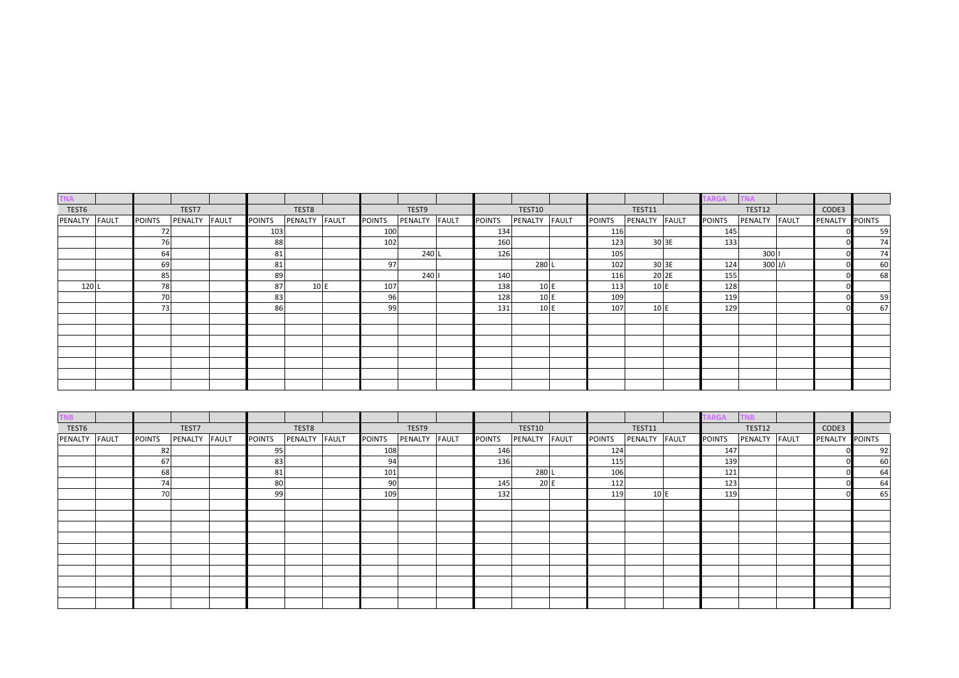| <b>TNA</b> |              |               |         |              |               |         |              |               |         |              |               |         |              |               |               |              | RGA           |         |              |         |               |
|------------|--------------|---------------|---------|--------------|---------------|---------|--------------|---------------|---------|--------------|---------------|---------|--------------|---------------|---------------|--------------|---------------|---------|--------------|---------|---------------|
| TEST6      |              |               | TEST7   |              |               | TEST8   |              |               | TEST9   |              |               | TEST10  |              |               | <b>TEST11</b> |              |               | TEST12  |              | CODE3   |               |
| PENALTY    | <b>FAULT</b> | <b>POINTS</b> | PENALTY | <b>FAULT</b> | <b>POINTS</b> | PENALTY | <b>FAULT</b> | <b>POINTS</b> | PENALTY | <b>FAULT</b> | <b>POINTS</b> | PENALTY | <b>FAULT</b> | <b>POINTS</b> | PENALTY       | <b>FAULT</b> | <b>POINTS</b> | PENALTY | <b>FAULT</b> | PENALTY | <b>POINTS</b> |
|            |              | 72            |         |              | 103           |         |              | 100           |         |              | 134           |         |              | 116           |               |              | 145           |         |              |         | 59            |
|            |              | 76            |         |              | 88            |         |              | 102           |         |              | 160           |         |              | 123           |               | 30 3E        | 133           |         |              |         | 74            |
|            |              | 64            |         |              | 81            |         |              |               | 240 L   |              | 126           |         |              | 105           |               |              |               | 300     |              |         | 74            |
|            |              | 69            |         |              | 81            |         |              | 97            |         |              |               | 280 L   |              | 102           |               | 30 3E        | 124           | 300 J/i |              |         | 60            |
|            |              | 85            |         |              | 89            |         |              |               | 240     |              | 140           |         |              | 116           |               | 20 2E        | 155           |         |              |         | 68            |
| 120 L      |              | 78            |         |              | 87            | 10E     |              | 107           |         |              | 138           | 10 E    |              | 113           | 10 E          |              | 128           |         |              |         |               |
|            |              | 70            |         |              | 83            |         |              | 96            |         |              | 128           | 10 E    |              | 109           |               |              | 119           |         |              |         | 59            |
|            |              | 73            |         |              | 86            |         |              | 99            |         |              | 131           | 10 E    |              | 107           | 10 E          |              | 129           |         |              |         | 67            |
|            |              |               |         |              |               |         |              |               |         |              |               |         |              |               |               |              |               |         |              |         |               |
|            |              |               |         |              |               |         |              |               |         |              |               |         |              |               |               |              |               |         |              |         |               |
|            |              |               |         |              |               |         |              |               |         |              |               |         |              |               |               |              |               |         |              |         |               |
|            |              |               |         |              |               |         |              |               |         |              |               |         |              |               |               |              |               |         |              |         |               |
|            |              |               |         |              |               |         |              |               |         |              |               |         |              |               |               |              |               |         |              |         |               |
|            |              |               |         |              |               |         |              |               |         |              |               |         |              |               |               |              |               |         |              |         |               |
|            |              |               |         |              |               |         |              |               |         |              |               |         |              |               |               |              |               |         |              |         |               |

| <b>TNB</b>    |               |               |               |               |               |               |               |               |               |               |               |               |                |               |
|---------------|---------------|---------------|---------------|---------------|---------------|---------------|---------------|---------------|---------------|---------------|---------------|---------------|----------------|---------------|
| TEST6         |               | TEST7         |               | TEST8         |               | TEST9         |               | TEST10        |               | <b>TEST11</b> |               | TEST12        | CODE3          |               |
| PENALTY FAULT | <b>POINTS</b> | PENALTY FAULT | <b>POINTS</b> | PENALTY FAULT | <b>POINTS</b> | PENALTY FAULT | <b>POINTS</b> | PENALTY FAULT | <b>POINTS</b> | PENALTY FAULT | <b>POINTS</b> | PENALTY FAULT | <b>PENALTY</b> | <b>POINTS</b> |
|               | 82            |               | 95            |               | 108           |               | 146           |               | 124           |               | 147           |               |                | 92            |
|               | 67            |               | 83            |               | 94            |               | 136           |               | 115           |               | 139           |               |                | 60            |
|               | 68            |               | 81            |               | 101           |               |               | 280 L         | 106           |               | 121           |               |                | 64            |
|               | 74            |               | 80            |               | 90            |               | 145           | 20 E          | 112           |               | 123           |               |                | 64            |
|               | 70            |               | 99            |               | 109           |               | 132           |               | 119           | 10 E          | 119           |               |                | 65            |
|               |               |               |               |               |               |               |               |               |               |               |               |               |                |               |
|               |               |               |               |               |               |               |               |               |               |               |               |               |                |               |
|               |               |               |               |               |               |               |               |               |               |               |               |               |                |               |
|               |               |               |               |               |               |               |               |               |               |               |               |               |                |               |
|               |               |               |               |               |               |               |               |               |               |               |               |               |                |               |
|               |               |               |               |               |               |               |               |               |               |               |               |               |                |               |
|               |               |               |               |               |               |               |               |               |               |               |               |               |                |               |
|               |               |               |               |               |               |               |               |               |               |               |               |               |                |               |
|               |               |               |               |               |               |               |               |               |               |               |               |               |                |               |
|               |               |               |               |               |               |               |               |               |               |               |               |               |                |               |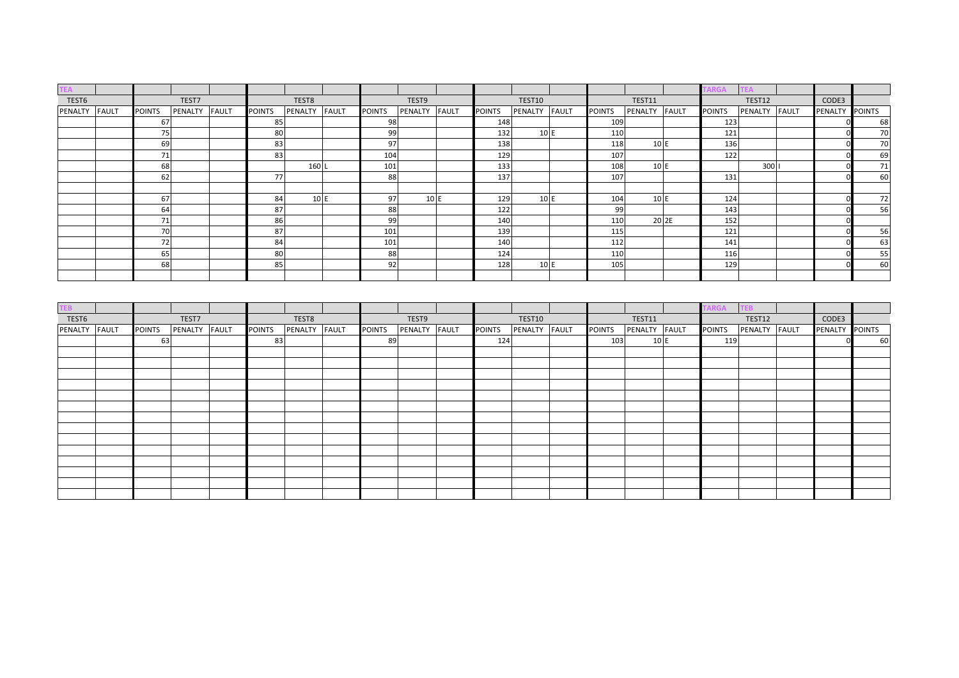| ΈΑ      |              |                 |         |              |               |               |               |         |              |               |         |              |               |         |              | RGA           |               |              |                |               |
|---------|--------------|-----------------|---------|--------------|---------------|---------------|---------------|---------|--------------|---------------|---------|--------------|---------------|---------|--------------|---------------|---------------|--------------|----------------|---------------|
| TEST6   |              |                 | TEST7   |              |               | TEST8         |               | TEST9   |              |               | TEST10  |              |               | TEST11  |              |               | <b>TEST12</b> |              | CODE3          |               |
| PENALTY | <b>FAULT</b> | <b>POINTS</b>   | PENALTY | <b>FAULT</b> | <b>POINTS</b> | PENALTY FAULT | <b>POINTS</b> | PENALTY | <b>FAULT</b> | <b>POINTS</b> | PENALTY | <b>FAULT</b> | <b>POINTS</b> | PENALTY | <b>FAULT</b> | <b>POINTS</b> | PENALTY       | <b>FAULT</b> | <b>PENALTY</b> | <b>POINTS</b> |
|         |              | 67              |         |              | 85            |               | 98            |         |              | 148           |         |              | 109           |         |              | 123           |               |              |                | 68            |
|         |              | 75              |         |              | 80            |               | 99            |         |              | 132           | 10 E    |              | 110           |         |              | 121           |               |              |                | 70            |
|         |              | 69              |         |              | 83            |               | 97            |         |              | 138           |         |              | 118           | 10 E    |              | 136           |               |              |                | 70            |
|         |              | 71 <sub>1</sub> |         |              | 83            |               | 104           |         |              | 129           |         |              | 107           |         |              | 122           |               |              |                | 69            |
|         |              | 68              |         |              |               | 160 L         | 101           |         |              | 133           |         |              | 108           | 10 E    |              |               | 300           |              |                | 71            |
|         |              | 62              |         |              | 77            |               | 88            |         |              | 137           |         |              | 107           |         |              | 131           |               |              |                | 60            |
|         |              |                 |         |              |               |               |               |         |              |               |         |              |               |         |              |               |               |              |                |               |
|         |              | 67              |         |              | 84            | 10 E          | 97            | 10 E    |              | 129           | 10 E    |              | 104           | 10 E    |              | 124           |               |              |                | 72            |
|         |              | 64              |         |              | 87            |               | 88            |         |              | 122           |         |              | 99            |         |              | 143           |               |              |                | 56            |
|         |              | 71              |         |              | 86            |               | 99            |         |              | 140           |         |              | 110           |         | 20 2E        | 152           |               |              |                |               |
|         |              | 70              |         |              | 87            |               | 101           |         |              | 139           |         |              | 115           |         |              | 121           |               |              |                | 56            |
|         |              | 72              |         |              | 84            |               | 101           |         |              | 140           |         |              | 112           |         |              | 141           |               |              |                | 63            |
|         |              | 65              |         |              | 80            |               | 88            |         |              | 124           |         |              | 110           |         |              | 116           |               |              |                | 55            |
|         |              | 68              |         |              | 85            |               | 92            |         |              | 128           | 10E     |              | 105           |         |              | 129           |               |              |                | 60            |
|         |              |                 |         |              |               |               |               |         |              |               |         |              |               |         |              |               |               |              |                |               |

| ΈB.           |               |               |               |               |               |         |              |               |         |              |               |         |              | GΑ            |               |                |    |
|---------------|---------------|---------------|---------------|---------------|---------------|---------|--------------|---------------|---------|--------------|---------------|---------|--------------|---------------|---------------|----------------|----|
| TEST6         |               | TEST7         |               | TEST8         |               | TEST9   |              |               | TEST10  |              |               | TEST11  |              |               | TEST12        | CODE3          |    |
| PENALTY FAULT | <b>POINTS</b> | PENALTY FAULT | <b>POINTS</b> | PENALTY FAULT | <b>POINTS</b> | PENALTY | <b>FAULT</b> | <b>POINTS</b> | PENALTY | <b>FAULT</b> | <b>POINTS</b> | PENALTY | <b>FAULT</b> | <b>POINTS</b> | PENALTY FAULT | PENALTY POINTS |    |
|               | 63            |               | 83            |               | 89            |         |              | 124           |         |              | 103           | 10 E    |              | 119           |               |                | 60 |
|               |               |               |               |               |               |         |              |               |         |              |               |         |              |               |               |                |    |
|               |               |               |               |               |               |         |              |               |         |              |               |         |              |               |               |                |    |
|               |               |               |               |               |               |         |              |               |         |              |               |         |              |               |               |                |    |
|               |               |               |               |               |               |         |              |               |         |              |               |         |              |               |               |                |    |
|               |               |               |               |               |               |         |              |               |         |              |               |         |              |               |               |                |    |
|               |               |               |               |               |               |         |              |               |         |              |               |         |              |               |               |                |    |
|               |               |               |               |               |               |         |              |               |         |              |               |         |              |               |               |                |    |
|               |               |               |               |               |               |         |              |               |         |              |               |         |              |               |               |                |    |
|               |               |               |               |               |               |         |              |               |         |              |               |         |              |               |               |                |    |
|               |               |               |               |               |               |         |              |               |         |              |               |         |              |               |               |                |    |
|               |               |               |               |               |               |         |              |               |         |              |               |         |              |               |               |                |    |
|               |               |               |               |               |               |         |              |               |         |              |               |         |              |               |               |                |    |
|               |               |               |               |               |               |         |              |               |         |              |               |         |              |               |               |                |    |
|               |               |               |               |               |               |         |              |               |         |              |               |         |              |               |               |                |    |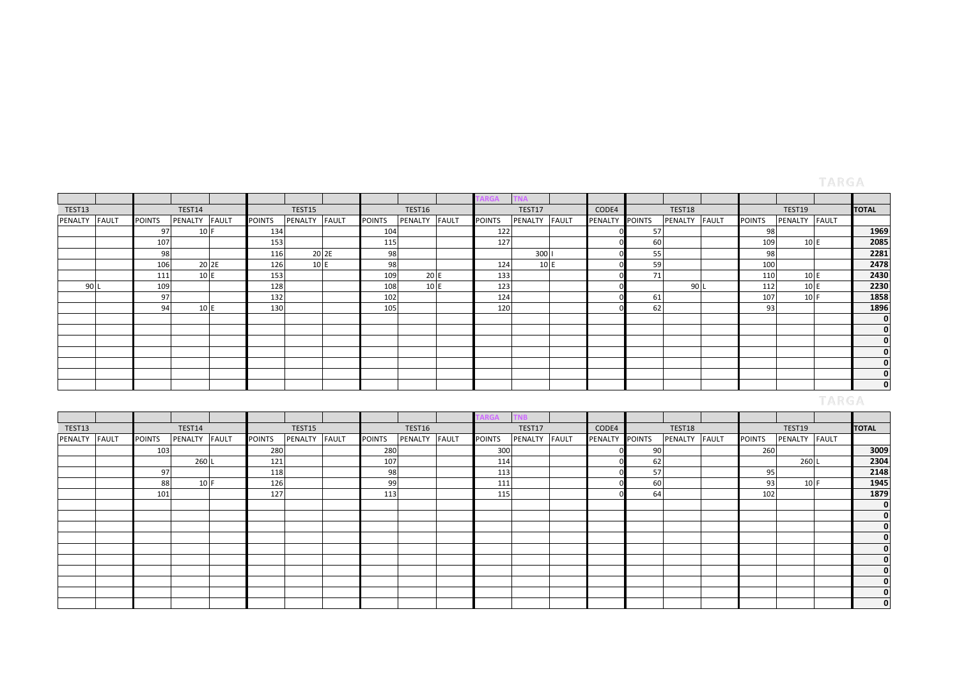# TARGA

|         |              |               |         |              |               |         |              |               |         |       | RGA           |               |                |        |         |              |               |               |              |
|---------|--------------|---------------|---------|--------------|---------------|---------|--------------|---------------|---------|-------|---------------|---------------|----------------|--------|---------|--------------|---------------|---------------|--------------|
| TEST13  |              |               | TEST14  |              |               | TEST15  |              |               | TEST16  |       |               | TEST17        | CODE4          |        | TEST18  |              |               | TEST19        | <b>TOTAL</b> |
| PENALTY | <b>FAULT</b> | <b>POINTS</b> | PENALTY | <b>FAULT</b> | <b>POINTS</b> | PENALTY | <b>FAULT</b> | <b>POINTS</b> | PENALTY | FAULT | <b>POINTS</b> | PENALTY FAULT | <b>PENALTY</b> | POINTS | PENALTY | <b>FAULT</b> | <b>POINTS</b> | PENALTY FAULT |              |
|         |              | 97            | $10$ F  |              | 134           |         |              | 104           |         |       | 122           |               |                | 57     |         |              | 98            |               | 1969         |
|         |              | 107           |         |              | 153           |         |              | 115           |         |       | 127           |               |                | 60     |         |              | 109           | 10 E          | 2085         |
|         |              | 98            |         |              | 116           |         | 20 2E        | 98            |         |       |               | 300           |                | 55     |         |              | 98            |               | 2281         |
|         |              | 106           | 20 2E   |              | 126           | 10 E    |              | 98            |         |       | 124           | 10E           |                | 59     |         |              | 100           |               | 2478         |
|         |              | 111           | 10 E    |              | 153           |         |              | 109           | 20 E    |       | 133           |               |                | 71     |         |              | 110           | 10 E          | 2430         |
| 90 L    |              | 109           |         |              | 128           |         |              | 108           | 10 E    |       | 123           |               |                |        | 90L     |              | 112           | 10E           | 2230         |
|         |              | 97            |         |              | 132           |         |              | 102           |         |       | 124           |               |                | 61     |         |              | 107           | 10 F          | 1858         |
|         |              | 94            | 10 E    |              | 130           |         |              | 105           |         |       | 120           |               |                | 62     |         |              | 931           |               | 1896         |
|         |              |               |         |              |               |         |              |               |         |       |               |               |                |        |         |              |               |               | $\mathbf{0}$ |
|         |              |               |         |              |               |         |              |               |         |       |               |               |                |        |         |              |               |               | $\mathbf{0}$ |
|         |              |               |         |              |               |         |              |               |         |       |               |               |                |        |         |              |               |               | $\mathbf{0}$ |
|         |              |               |         |              |               |         |              |               |         |       |               |               |                |        |         |              |               |               | $\mathbf{0}$ |
|         |              |               |         |              |               |         |              |               |         |       |               |               |                |        |         |              |               |               | 0            |
|         |              |               |         |              |               |         |              |               |         |       |               |               |                |        |         |              |               |               | $\mathbf{0}$ |
|         |              |               |         |              |               |         |              |               |         |       |               |               |                |        |         |              |               |               | $\mathbf{0}$ |
|         |              |               |         |              |               |         |              |               |         |       |               |               |                |        |         |              |               |               |              |

|         |              |               |         |              |               |                |       |               |               | ARGA          |         |              |                |               |               |               |               |              |
|---------|--------------|---------------|---------|--------------|---------------|----------------|-------|---------------|---------------|---------------|---------|--------------|----------------|---------------|---------------|---------------|---------------|--------------|
| TEST13  |              |               | TEST14  |              |               | TEST15         |       |               | TEST16        |               | TEST17  |              | CODE4          |               | TEST18        |               | TEST19        | <b>TOTAL</b> |
| PENALTY | <b>FAULT</b> | <b>POINTS</b> | PENALTY | <b>FAULT</b> | <b>POINTS</b> | <b>PENALTY</b> | FAULT | <b>POINTS</b> | PENALTY FAULT | <b>POINTS</b> | PENALTY | <b>FAULT</b> | <b>PENALTY</b> | <b>POINTS</b> | PENALTY FAULT | <b>POINTS</b> | PENALTY FAULT |              |
|         |              | 103           |         |              | 280           |                |       | 280           |               | 300           |         |              |                | 90            |               | 260           |               | 3009         |
|         |              |               | 260 L   |              | 121           |                |       | 107           |               | 114           |         |              |                | 62            |               |               | 260 L         | 2304         |
|         |              | 97            |         |              | 118           |                |       | 98            |               | 113           |         |              |                | 57            |               | 95            |               | 2148         |
|         |              | 88            | 10 F    |              | 126           |                |       | 99            |               | 111           |         |              |                | 60            |               | 93            | 10 F          | 1945         |
|         |              | 101           |         |              | 127           |                |       | 113           |               | 115           |         |              |                | 64            |               | 102           |               | 1879         |
|         |              |               |         |              |               |                |       |               |               |               |         |              |                |               |               |               |               | 0            |
|         |              |               |         |              |               |                |       |               |               |               |         |              |                |               |               |               |               | U            |
|         |              |               |         |              |               |                |       |               |               |               |         |              |                |               |               |               |               |              |
|         |              |               |         |              |               |                |       |               |               |               |         |              |                |               |               |               |               | υ            |
|         |              |               |         |              |               |                |       |               |               |               |         |              |                |               |               |               |               | υ            |
|         |              |               |         |              |               |                |       |               |               |               |         |              |                |               |               |               |               | u            |
|         |              |               |         |              |               |                |       |               |               |               |         |              |                |               |               |               |               |              |
|         |              |               |         |              |               |                |       |               |               |               |         |              |                |               |               |               |               |              |
|         |              |               |         |              |               |                |       |               |               |               |         |              |                |               |               |               |               |              |
|         |              |               |         |              |               |                |       |               |               |               |         |              |                |               |               |               |               | υ            |